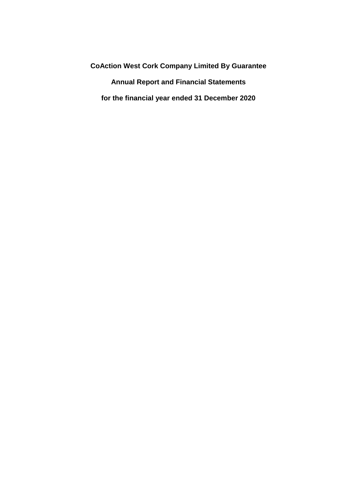**CoAction West Cork Company Limited By Guarantee Annual Report and Financial Statements for the financial year ended 31 December 2020**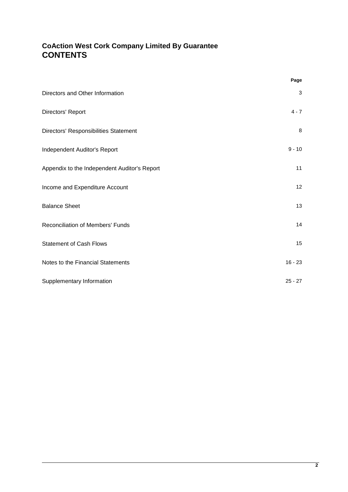# **CoAction West Cork Company Limited By Guarantee CONTENTS**

|                                              | Page      |
|----------------------------------------------|-----------|
| Directors and Other Information              | 3         |
| Directors' Report                            | $4 - 7$   |
| Directors' Responsibilities Statement        | 8         |
| Independent Auditor's Report                 | $9 - 10$  |
| Appendix to the Independent Auditor's Report | 11        |
| Income and Expenditure Account               | 12        |
| <b>Balance Sheet</b>                         | 13        |
| <b>Reconciliation of Members' Funds</b>      | 14        |
| <b>Statement of Cash Flows</b>               | 15        |
| Notes to the Financial Statements            | $16 - 23$ |
| Supplementary Information                    | $25 - 27$ |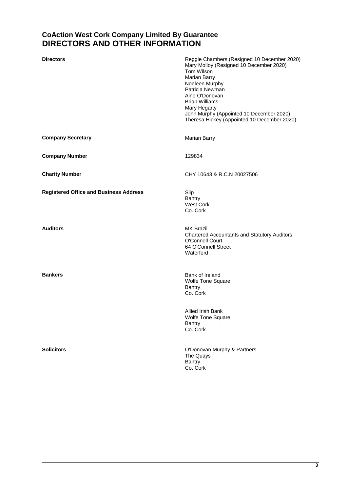### **CoAction West Cork Company Limited By Guarantee DIRECTORS AND OTHER INFORMATION**

<span id="page-2-0"></span>

| <b>Directors</b>                              | Reggie Chambers (Resigned 10 December 2020)<br>Mary Molloy (Resigned 10 December 2020)<br>Tom Wilson<br>Marian Barry<br>Noeleen Murphy<br>Patricia Newman<br>Aine O'Donovan<br><b>Brian Williams</b><br>Mary Hegarty<br>John Murphy (Appointed 10 December 2020)<br>Theresa Hickey (Appointed 10 December 2020) |
|-----------------------------------------------|-----------------------------------------------------------------------------------------------------------------------------------------------------------------------------------------------------------------------------------------------------------------------------------------------------------------|
| <b>Company Secretary</b>                      | Marian Barry                                                                                                                                                                                                                                                                                                    |
| <b>Company Number</b>                         | 129834                                                                                                                                                                                                                                                                                                          |
| <b>Charity Number</b>                         | CHY 10643 & R.C.N 20027506                                                                                                                                                                                                                                                                                      |
| <b>Registered Office and Business Address</b> | Slip<br><b>Bantry</b><br><b>West Cork</b><br>Co. Cork                                                                                                                                                                                                                                                           |
| <b>Auditors</b>                               | <b>MK Brazil</b><br><b>Chartered Accountants and Statutory Auditors</b><br><b>O'Connell Court</b><br>64 O'Connell Street<br>Waterford                                                                                                                                                                           |
| <b>Bankers</b>                                | Bank of Ireland<br>Wolfe Tone Square<br><b>Bantry</b><br>Co. Cork                                                                                                                                                                                                                                               |
|                                               | Allied Irish Bank<br>Wolfe Tone Square<br><b>Bantry</b><br>Co. Cork                                                                                                                                                                                                                                             |
| <b>Solicitors</b>                             | O'Donovan Murphy & Partners<br>The Quays<br><b>Bantry</b><br>Co. Cork                                                                                                                                                                                                                                           |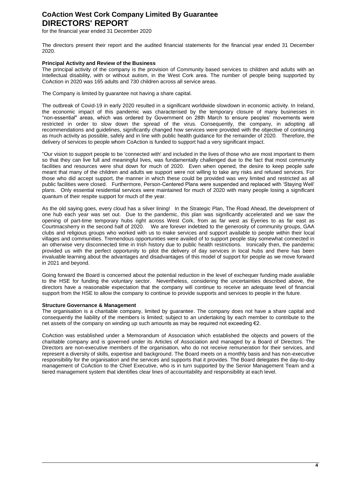for the financial year ended 31 December 2020

<span id="page-3-0"></span>The directors present their report and the audited financial statements for the financial year ended 31 December 2020.

### **Principal Activity and Review of the Business**

The principal activity of the company is the provision of Community based services to children and adults with an Intellectual disability, with or without autism, in the West Cork area. The number of people being supported by CoAction in 2020 was 165 adults and 730 children across all service areas.

The Company is limited by guarantee not having a share capital.

The outbreak of Covid-19 in early 2020 resulted in a significant worldwide slowdown in economic activity. In Ireland, the economic impact of this pandemic was characterised by the temporary closure of many businesses in "non-essential" areas, which was ordered by Government on 28th March to ensure peoples' movements were restricted in order to slow down the spread of the virus. Consequently, the company, in adopting all recommendations and guidelines, significantly changed how services were provided with the objective of continuing as much activity as possible, safely and in line with public health guidance for the remainder of 2020. Therefore, the delivery of services to people whom CoAction is funded to support had a very significant impact.

"Our vision to support people to be 'connected with' and included in the lives of those who are most important to them so that they can live full and meaningful lives, was fundamentally challenged due to the fact that most community facilities and resources were shut down for much of 2020. Even when opened, the desire to keep people safe meant that many of the children and adults we support were not willing to take any risks and refused services. For those who did accept support, the manner in which these could be provided was very limited and restricted as all public facilities were closed. Furthermore, Person-Centered Plans were suspended and replaced with 'Staying Well' plans. Only essential residential services were maintained for much of 2020 with many people losing a significant quantum of their respite support for much of the year.

As the old saying goes, every cloud has a silver lining! In the Strategic Plan, The Road Ahead, the development of one hub each year was set out. Due to the pandemic, this plan was significantly accelerated and we saw the opening of part-time temporary hubs right across West Cork, from as far west as Eyeries to as far east as Courtmacsherry in the second half of 2020. We are forever indebted to the generosity of community groups. GAA We are forever indebted to the generosity of community groups, GAA clubs and religious groups who worked with us to make services and support available to people within their local villages and communities. Tremendous opportunities were availed of to support people stay somewhat connected in an otherwise very disconnected time in Irish history due to public health restrictions. Ironically then, the pandemic provided us with the perfect opportunity to pilot the delivery of day services in local hubs and there has been invaluable learning about the advantages and disadvantages of this model of support for people as we move forward in 2021 and beyond.

Going forward the Board is concerned about the potential reduction in the level of exchequer funding made available to the HSE for funding the voluntary sector. Nevertheless, considering the uncertainties described above, the directors have a reasonable expectation that the company will continue to receive an adequate level of financial support from the HSE to allow the company to continue to provide supports and services to people in the future.

### **Structure Governance & Management**

The organisation is a charitable company, limited by guarantee. The company does not have a share capital and consequently the liability of the members is limited; subject to an undertaking by each member to contribute to the net assets of the company on winding up such amounts as may be required not exceeding  $\epsilon$ 2.

CoAction was established under a Memorandum of Association which established the objects and powers of the charitable company and is governed under its Articles of Association and managed by a Board of Directors. The Directors are non-executive members of the organisation, who do not receive remuneration for their services, and represent a diversity of skills, expertise and background. The Board meets on a monthly basis and has non-executive responsibility for the organisation and the services and supports that it provides. The Board delegates the day-to-day management of CoAction to the Chief Executive, who is in turn supported by the Senior Management Team and a tiered management system that identifies clear lines of accountability and responsibility at each level.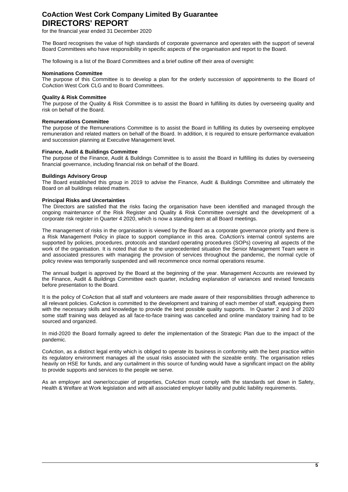for the financial year ended 31 December 2020

The Board recognises the value of high standards of corporate governance and operates with the support of several Board Committees who have responsibility in specific aspects of the organisation and report to the Board.

The following is a list of the Board Committees and a brief outline off their area of oversight:

#### **Nominations Committee**

The purpose of this Committee is to develop a plan for the orderly succession of appointments to the Board of CoAction West Cork CLG and to Board Committees.

#### **Quality & Risk Committee**

The purpose of the Quality & Risk Committee is to assist the Board in fulfilling its duties by overseeing quality and risk on behalf of the Board.

#### **Remunerations Committee**

The purpose of the Remunerations Committee is to assist the Board in fulfilling its duties by overseeing employee remuneration and related matters on behalf of the Board. In addition, it is required to ensure performance evaluation and succession planning at Executive Management level.

#### **Finance, Audit & Buildings Committee**

The purpose of the Finance, Audit & Buildings Committee is to assist the Board in fulfilling its duties by overseeing financial governance, including financial risk on behalf of the Board.

#### **Buildings Advisory Group**

The Board established this group in 2019 to advise the Finance, Audit & Buildings Committee and ultimately the Board on all buildings related matters.

#### **Principal Risks and Uncertainties**

The Directors are satisfied that the risks facing the organisation have been identified and managed through the ongoing maintenance of the Risk Register and Quality & Risk Committee oversight and the development of a corporate risk register in Quarter 4 2020, which is now a standing item at all Board meetings.

The management of risks in the organisation is viewed by the Board as a corporate governance priority and there is a Risk Management Policy in place to support compliance in this area. CoAction's internal control systems are supported by policies, procedures, protocols and standard operating procedures (SOPs) covering all aspects of the work of the organisation. It is noted that due to the unprecedented situation the Senior Management Team were in and associated pressures with managing the provision of services throughout the pandemic, the normal cycle of policy review was temporarily suspended and will recommence once normal operations resume.

The annual budget is approved by the Board at the beginning of the year. Management Accounts are reviewed by the Finance, Audit & Buildings Committee each quarter, including explanation of variances and revised forecasts before presentation to the Board.

It is the policy of CoAction that all staff and volunteers are made aware of their responsibilities through adherence to all relevant policies. CoAction is committed to the development and training of each member of staff, equipping them with the necessary skills and knowledge to provide the best possible quality supports. In Quarter 2 and 3 of 2020 some staff training was delayed as all face-to-face training was cancelled and online mandatory training had to be sourced and organized.

In mid-2020 the Board formally agreed to defer the implementation of the Strategic Plan due to the impact of the pandemic.

CoAction, as a distinct legal entity which is obliged to operate its business in conformity with the best practice within its regulatory environment manages all the usual risks associated with the sizeable entity. The organisation relies heavily on HSE for funds, and any curtailment in this source of funding would have a significant impact on the ability to provide supports and services to the people we serve.

As an employer and owner/occupier of properties, CoAction must comply with the standards set down in Safety, Health & Welfare at Work legislation and with all associated employer liability and public liability requirements.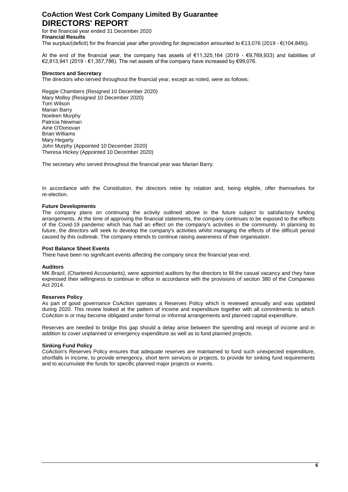for the financial year ended 31 December 2020 **Financial Results**

The surplus/(deficit) for the financial year after providing for depreciation amounted to  $\epsilon$ 13,076 (2019 -  $\epsilon$ (104,849)).

At the end of the financial year, the company has assets of €11,325,164 (2019 - €9,769,933) and liabilities of  $€2,813,941$  (2019 - €1,357,786). The net assets of the company have increased by €99,076.

#### **Directors and Secretary**

The directors who served throughout the financial year, except as noted, were as follows:

Reggie Chambers (Resigned 10 December 2020) Mary Molloy (Resigned 10 December 2020) Tom Wilson Marian Barry Noeleen Murphy Patricia Newman Aine O'Donovan Brian Williams Mary Hegarty John Murphy (Appointed 10 December 2020) Theresa Hickey (Appointed 10 December 2020)

The secretary who served throughout the financial year was Marian Barry.

In accordance with the Constitution, the directors retire by rotation and, being eligible, offer themselves for re-election.

#### **Future Developments**

The company plans on continuing the activity outlined above in the future subject to satisfactory funding arrangements. At the time of approving the financial statements, the company continues to be exposed to the effects of the Covid-19 pandemic which has had an effect on the company's activities in the community. In planning its future, the directors will seek to develop the company's activities whilst managing the effects of the difficult period caused by this outbreak. The company intends to continue raising awareness of their organisation.

#### **Post Balance Sheet Events**

There have been no significant events affecting the company since the financial year-end.

#### **Auditors**

MK Brazil, (Chartered Accountants), were appointed auditors by the directors to fill the casual vacancy and they have expressed their willingness to continue in office in accordance with the provisions of section 380 of the Companies Act 2014.

#### **Reserves Policy**

As part of good governance CoAction operates a Reserves Policy which is reviewed annually and was updated during 2020. This review looked at the pattern of income and expenditure together with all commitments to which CoAction is or may become obligated under formal or informal arrangements and planned capital expenditure.

Reserves are needed to bridge this gap should a delay arise between the spending and receipt of income and in addition to cover unplanned or emergency expenditure as well as to fund planned projects.

#### **Sinking Fund Policy**

CoAction's Reserves Policy ensures that adequate reserves are maintained to fund such unexpected expenditure, shortfalls in income, to provide emergency, short term services or projects, to provide for sinking fund requirements and to accumulate the funds for specific planned major projects or events.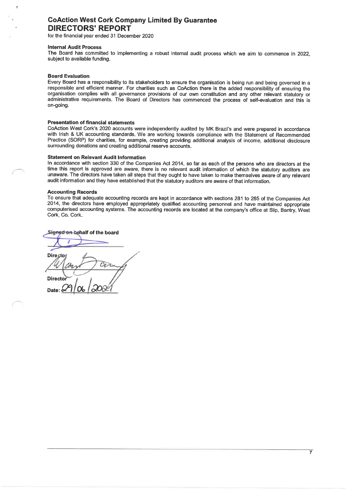for the financial year ended 31 December 2020

#### **Internal Audit Process**

The Board has committed to implementing a robust internal audit process which we aim to commence in 2022, subject to available funding.

#### **Board Evaluation**

Every Board has a responsibility to its stakeholders to ensure the organisation is being run and being governed in a responsible and efficient manner. For charities such as CoAction there is the added responsibility of ensuring the organisation complies with all governance provisions of our own constitution and any other relevant statutory or administrative requirements. The Board of Directors has commenced the process of self-evaluation and this is on-going.

#### **Presentation of financial statements**

CoAction West Cork's 2020 accounts were independently audited by MK Brazil's and were prepared in accordance with Irish & UK accounting standards. We are working towards compliance with the Statement of Recommended Practice (SORP) for charities, for example, creating providing additional analysis of income, additional disclosure surrounding donations and creating additional reserve accounts.

#### **Statement on Relevant Audit Information**

In accordance with section 330 of the Companies Act 2014, so far as each of the persons who are directors at the time this report is approved are aware, there is no relevant audit information of which the statutory auditors are unaware. The directors have taken all steps that they ought to have taken to make themselves aware of any relevant audit information and they have established that the statutory auditors are aware of that information.

#### **Accounting Records**

To ensure that adequate accounting records are kept in accordance with sections 281 to 285 of the Companies Act 2014, the directors have employed appropriately qualified accounting personnel and have maintained appropriate computerised accounting systems. The accounting records are located at the company's office at Slip, Bantry, West Cork, Co. Cork.

Signed on behalf of the board

**Dire**  $\alpha$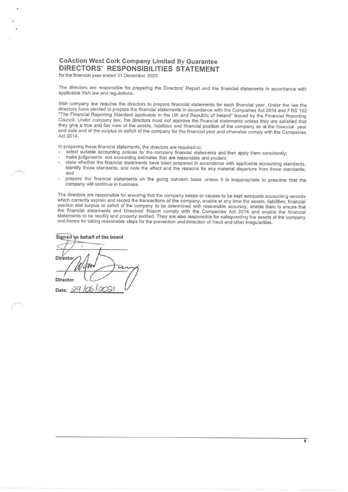### **CoAction West Cork Company Limited By Guarantee** DIRECTORS' RESPONSIBILITIES STATEMENT

for the financial year ended 31 December 2020

The directors are responsible for preparing the Directors' Report and the financial statements in accordance with applicable Irish law and regulations.

Irish company law requires the directors to prepare financial statements for each financial year. Under the law the directors have elected to prepare the financial statements in accordance with the Companies Act 2014 and FRS 102 "The Financial Reporting Standard applicable in the UK and Republic of Ireland" issued by the Financial Reporting Council. Under company law, the directors must not approve the financial statements unless they are satisfied that they give a true and fair view of the assets, liabilities and financial position of the company as at the financial year end date and of the surplus or deficit of the company for the financial year and otherwise comply with the Companies Act 2014.

In preparing these financial statements, the directors are required to:

- select suitable accounting policies for the company financial statements and then apply them consistently;
- make judgements and accounting estimates that are reasonable and prudent;
- state whether the financial statements have been prepared in accordance with applicable accounting standards, identify those standards, and note the effect and the reasons for any material departure from those standards; and
- prepare the financial statements on the going concern basis unless it is inappropriate to presume that the company will continue in business.

The directors are responsible for ensuring that the company keeps or causes to be kept adequate accounting records which correctly explain and record the transactions of the company, enable at any time the assets, liabilities, financial position and surplus or deficit of the company to be determined with reasonable accuracy, enable them to ensure that the financial statements and Directors' Report comply with the Companies Act 2014 and enable the financial statements to be readily and properly audited. They are also responsible for safeguarding the assets of the company and hence for taking reasonable steps for the prevention and detection of fraud and other irregularities.

Signed on behalf of the board

Director **Director** Date: 29/06/2021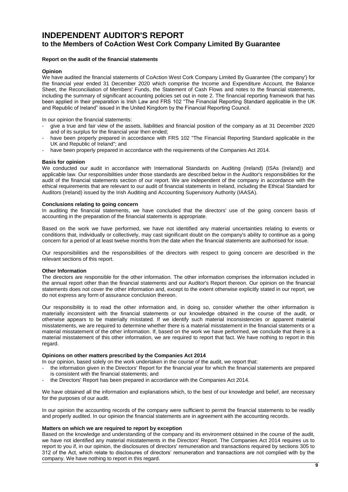### **INDEPENDENT AUDITOR'S REPORT to the Members of CoAction West Cork Company Limited By Guarantee**

#### <span id="page-8-0"></span>**Report on the audit of the financial statements**

#### **Opinion**

We have audited the financial statements of CoAction West Cork Company Limited By Guarantee ('the company') for the financial year ended 31 December 2020 which comprise the Income and Expenditure Account, the Balance Sheet, the Reconciliation of Members' Funds, the Statement of Cash Flows and notes to the financial statements, including the summary of significant accounting policies set out in note 2. The financial reporting framework that has been applied in their preparation is Irish Law and FRS 102 "The Financial Reporting Standard applicable in the UK and Republic of Ireland" issued in the United Kingdom by the Financial Reporting Council.

In our opinion the financial statements:

- give a true and fair view of the assets, liabilities and financial position of the company as at 31 December 2020 and of its surplus for the financial year then ended;
- have been properly prepared in accordance with FRS 102 "The Financial Reporting Standard applicable in the UK and Republic of Ireland"; and
- have been properly prepared in accordance with the requirements of the Companies Act 2014.

#### **Basis for opinion**

We conducted our audit in accordance with International Standards on Auditing (Ireland) (ISAs (Ireland)) and applicable law. Our responsibilities under those standards are described below in the Auditor's responsibilities for the audit of the financial statements section of our report. We are independent of the company in accordance with the ethical requirements that are relevant to our audit of financial statements in Ireland, including the Ethical Standard for Auditors (Ireland) issued by the Irish Auditing and Accounting Supervisory Authority (IAASA).

#### **Conclusions relating to going concern**

In auditing the financial statements, we have concluded that the directors' use of the going concern basis of accounting in the preparation of the financial statements is appropriate.

Based on the work we have performed, we have not identified any material uncertainties relating to events or conditions that, individually or collectively, may cast significant doubt on the company's ability to continue as a going concern for a period of at least twelve months from the date when the financial statements are authorised for issue.

Our responsibilities and the responsibilities of the directors with respect to going concern are described in the relevant sections of this report.

#### **Other Information**

The directors are responsible for the other information. The other information comprises the information included in the annual report other than the financial statements and our Auditor's Report thereon. Our opinion on the financial statements does not cover the other information and, except to the extent otherwise explicitly stated in our report, we do not express any form of assurance conclusion thereon.

Our responsibility is to read the other information and, in doing so, consider whether the other information is materially inconsistent with the financial statements or our knowledge obtained in the course of the audit, or otherwise appears to be materially misstated. If we identify such material inconsistencies or apparent material misstatements, we are required to determine whether there is a material misstatement in the financial statements or a material misstatement of the other information. If, based on the work we have performed, we conclude that there is a material misstatement of this other information, we are required to report that fact. We have nothing to report in this regard.

#### **Opinions on other matters prescribed by the Companies Act 2014**

In our opinion, based solely on the work undertaken in the course of the audit, we report that:

- the information given in the Directors' Report for the financial year for which the financial statements are prepared is consistent with the financial statements; and
- the Directors' Report has been prepared in accordance with the Companies Act 2014.

We have obtained all the information and explanations which, to the best of our knowledge and belief, are necessary for the purposes of our audit.

In our opinion the accounting records of the company were sufficient to permit the financial statements to be readily and properly audited. In our opinion the financial statements are in agreement with the accounting records.

#### **Matters on which we are required to report by exception**

Based on the knowledge and understanding of the company and its environment obtained in the course of the audit, we have not identified any material misstatements in the Directors' Report. The Companies Act 2014 requires us to report to you if, in our opinion, the disclosures of directors' remuneration and transactions required by sections 305 to 312 of the Act, which relate to disclosures of directors' remuneration and transactions are not complied with by the company. We have nothing to report in this regard.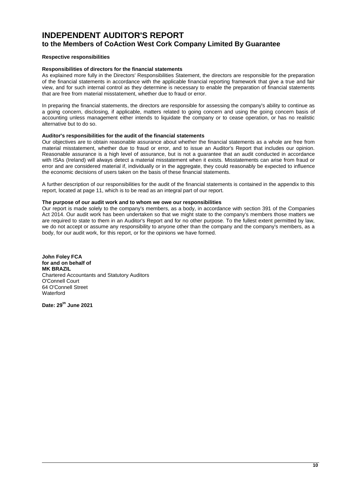# **INDEPENDENT AUDITOR'S REPORT to the Members of CoAction West Cork Company Limited By Guarantee**

#### **Respective responsibilities**

### **Responsibilities of directors for the financial statements**

As explained more fully in the Directors' Responsibilities Statement, the directors are responsible for the preparation of the financial statements in accordance with the applicable financial reporting framework that give a true and fair view, and for such internal control as they determine is necessary to enable the preparation of financial statements that are free from material misstatement, whether due to fraud or error.

In preparing the financial statements, the directors are responsible for assessing the company's ability to continue as a going concern, disclosing, if applicable, matters related to going concern and using the going concern basis of accounting unless management either intends to liquidate the company or to cease operation, or has no realistic alternative but to do so.

#### **Auditor's responsibilities for the audit of the financial statements**

Our objectives are to obtain reasonable assurance about whether the financial statements as a whole are free from material misstatement, whether due to fraud or error, and to issue an Auditor's Report that includes our opinion. Reasonable assurance is a high level of assurance, but is not a guarantee that an audit conducted in accordance with ISAs (Ireland) will always detect a material misstatement when it exists. Misstatements can arise from fraud or error and are considered material if, individually or in the aggregate, they could reasonably be expected to influence the economic decisions of users taken on the basis of these financial statements.

A further description of our responsibilities for the audit of the financial statements is contained in the appendix to this report, located at page [11,](#page-10-0) which is to be read as an integral part of our report.

#### **The purpose of our audit work and to whom we owe our responsibilities**

Our report is made solely to the company's members, as a body, in accordance with section 391 of the Companies Act 2014. Our audit work has been undertaken so that we might state to the company's members those matters we are required to state to them in an Auditor's Report and for no other purpose. To the fullest extent permitted by law, we do not accept or assume any responsibility to anyone other than the company and the company's members, as a body, for our audit work, for this report, or for the opinions we have formed.

**John Foley FCA for and on behalf of MK BRAZIL** Chartered Accountants and Statutory Auditors O'Connell Court 64 O'Connell Street **Waterford** 

<span id="page-9-0"></span>**Date: 29th June 2021**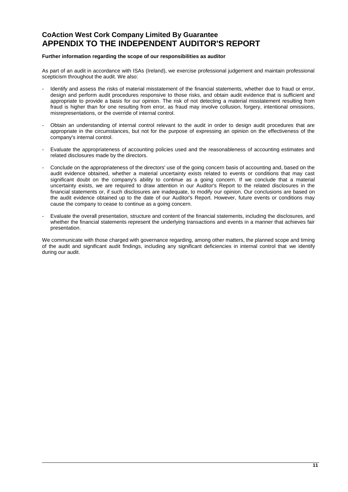### **CoAction West Cork Company Limited By Guarantee APPENDIX TO THE INDEPENDENT AUDITOR'S REPORT**

### <span id="page-10-0"></span>**Further information regarding the scope of our responsibilities as auditor**

As part of an audit in accordance with ISAs (Ireland), we exercise professional judgement and maintain professional scepticism throughout the audit. We also:

- Identify and assess the risks of material misstatement of the financial statements, whether due to fraud or error, design and perform audit procedures responsive to those risks, and obtain audit evidence that is sufficient and appropriate to provide a basis for our opinion. The risk of not detecting a material misstatement resulting from fraud is higher than for one resulting from error, as fraud may involve collusion, forgery, intentional omissions, misrepresentations, or the override of internal control.
- Obtain an understanding of internal control relevant to the audit in order to design audit procedures that are appropriate in the circumstances, but not for the purpose of expressing an opinion on the effectiveness of the company's internal control.
- Evaluate the appropriateness of accounting policies used and the reasonableness of accounting estimates and related disclosures made by the directors.
- Conclude on the appropriateness of the directors' use of the going concern basis of accounting and, based on the audit evidence obtained, whether a material uncertainty exists related to events or conditions that may cast significant doubt on the company's ability to continue as a going concern. If we conclude that a material uncertainty exists, we are required to draw attention in our Auditor's Report to the related disclosures in the financial statements or, if such disclosures are inadequate, to modify our opinion. Our conclusions are based on the audit evidence obtained up to the date of our Auditor's Report. However, future events or conditions may cause the company to cease to continue as a going concern.
- Evaluate the overall presentation, structure and content of the financial statements, including the disclosures, and whether the financial statements represent the underlying transactions and events in a manner that achieves fair presentation.

We communicate with those charged with governance regarding, among other matters, the planned scope and timing of the audit and significant audit findings, including any significant deficiencies in internal control that we identify during our audit.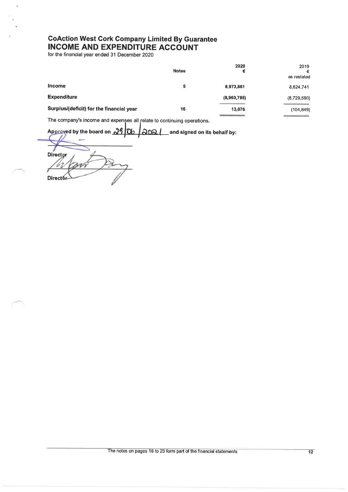# **CoAction West Cork Company Limited By Guarantee INCOME AND EXPENDITURE ACCOUNT**

for the financial year ended 31 December 2020

|                                                                       | <b>Notes</b> | 2020<br>€   | 2019<br>€<br>as restated |
|-----------------------------------------------------------------------|--------------|-------------|--------------------------|
| <b>Income</b>                                                         | 5            | 8,973,861   | 8.624.741                |
| <b>Expenditure</b>                                                    |              | (8,960,785) | (8,729,590)              |
| Surplus/(deficit) for the financial year                              | 16           | 13,076      | (104, 849)               |
| The components increase and concerted all selections of $\mathcal{L}$ |              |             |                          |

The company's income and expenses all relate to continuing operations.

Approved by the board on  $\frac{39}{00}$   $\frac{1}{200}$  and signed on its behalf by:

**Director** Direct6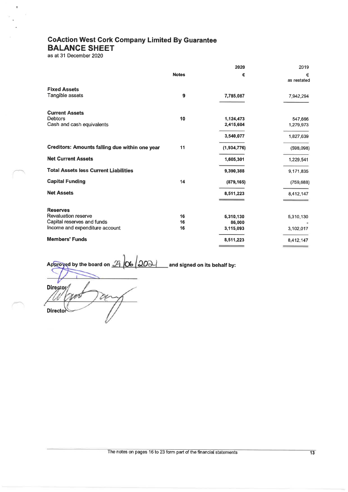# **CoAction West Cork Company Limited By Guarantee**

# **BALANCE SHEET**

as at 31 December 2020

 $\ddot{\phantom{a}}$ 

|                                                |              | 2020        | 2019             |
|------------------------------------------------|--------------|-------------|------------------|
|                                                | <b>Notes</b> | €           | €<br>as restated |
| <b>Fixed Assets</b>                            |              |             |                  |
| Tangible assets                                | 9            | 7,785,087   | 7,942,294        |
| <b>Current Assets</b>                          |              |             |                  |
| <b>Debtors</b>                                 | 10           | 1.124.473   | 547,666          |
| Cash and cash equivalents                      |              | 2,415,604   | 1,279,973        |
|                                                |              | 3,540,077   | 1,827,639        |
| Creditors: Amounts falling due within one year | 11           | (1,934,776) | (598,098)        |
| <b>Net Current Assets</b>                      |              | 1,605,301   | 1,229,541        |
| <b>Total Assets less Current Liabilities</b>   |              | 9,390,388   | 9,171,835        |
| <b>Capital Funding</b>                         | 14           | (879, 165)  | (759, 688)       |
| <b>Net Assets</b>                              |              | 8,511,223   | 8,412,147        |
|                                                |              |             |                  |
| <b>Reserves</b>                                |              |             |                  |
| <b>Revaluation reserve</b>                     | 16           | 5,310,130   | 5,310,130        |
| Capital reserves and funds                     | 16           | 86,000      |                  |
| Income and expenditure account                 | 16           | 3,115,093   | 3,102,017        |
| <b>Members' Funds</b>                          |              | 8,511,223   | 8,412,147        |
|                                                |              |             |                  |

Approved by the board on  $\mathcal{B}$   $\alpha$   $\alpha$   $\alpha$  and signed on its behalf by: Director

 $\infty$ 

**Director**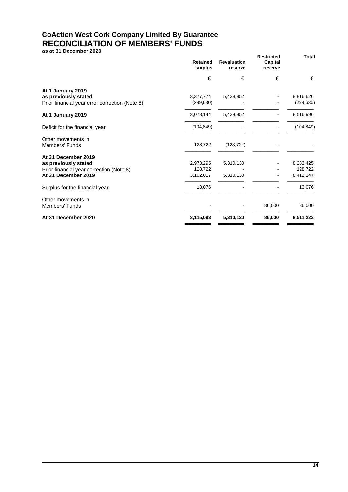# **CoAction West Cork Company Limited By Guarantee RECONCILIATION OF MEMBERS' FUNDS**

<span id="page-13-0"></span>**as at 31 December 2020**

|                                                | <b>Retained</b><br>surplus | <b>Revaluation</b><br>reserve | <b>Restricted</b><br>Capital<br>reserve | <b>Total</b> |
|------------------------------------------------|----------------------------|-------------------------------|-----------------------------------------|--------------|
|                                                | €                          | €                             | €                                       | €            |
| At 1 January 2019                              |                            |                               |                                         |              |
| as previously stated                           | 3,377,774                  | 5,438,852                     |                                         | 8,816,626    |
| Prior financial year error correction (Note 8) | (299, 630)                 |                               |                                         | (299, 630)   |
| At 1 January 2019                              | 3,078,144                  | 5,438,852                     |                                         | 8,516,996    |
| Deficit for the financial year                 | (104, 849)                 |                               |                                         | (104, 849)   |
| Other movements in                             |                            |                               |                                         |              |
| Members' Funds                                 | 128,722                    | (128, 722)                    |                                         |              |
| At 31 December 2019                            |                            |                               |                                         |              |
| as previously stated                           | 2,973,295                  | 5,310,130                     |                                         | 8,283,425    |
| Prior financial year correction (Note 8)       | 128,722                    |                               |                                         | 128,722      |
| At 31 December 2019                            | 3,102,017                  | 5,310,130                     |                                         | 8,412,147    |
| Surplus for the financial year                 | 13,076                     |                               |                                         | 13,076       |
| Other movements in<br>Members' Funds           |                            |                               | 86,000                                  | 86,000       |
|                                                |                            |                               |                                         |              |
| At 31 December 2020                            | 3,115,093                  | 5,310,130                     | 86,000                                  | 8,511,223    |
|                                                |                            |                               |                                         |              |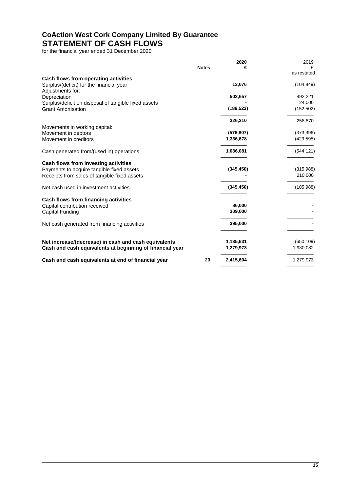### **CoAction West Cork Company Limited By Guarantee STATEMENT OF CASH FLOWS**

<span id="page-14-0"></span>

|                                                                                                                  |              | 2020       | 2019        |
|------------------------------------------------------------------------------------------------------------------|--------------|------------|-------------|
|                                                                                                                  | <b>Notes</b> | €          | €           |
| Cash flows from operating activities                                                                             |              |            | as restated |
| Surplus/(deficit) for the financial year                                                                         |              | 13,076     | (104, 849)  |
| Adjustments for:                                                                                                 |              |            |             |
| Depreciation                                                                                                     |              | 502,657    | 492,221     |
| Surplus/deficit on disposal of tangible fixed assets                                                             |              |            | 24,000      |
| <b>Grant Amortisation</b>                                                                                        |              | (189, 523) | (152, 502)  |
|                                                                                                                  |              | 326,210    | 258,870     |
| Movements in working capital:                                                                                    |              |            |             |
| Movement in debtors                                                                                              |              | (576, 807) | (373, 396)  |
| Movement in creditors                                                                                            |              | 1,336,678  | (429, 595)  |
| Cash generated from/(used in) operations                                                                         |              | 1,086,081  | (544, 121)  |
| Cash flows from investing activities                                                                             |              |            |             |
| Payments to acquire tangible fixed assets                                                                        |              | (345, 450) | (315,988)   |
| Receipts from sales of tangible fixed assets                                                                     |              |            | 210,000     |
| Net cash used in investment activities                                                                           |              | (345, 450) | (105, 988)  |
| Cash flows from financing activities                                                                             |              |            |             |
| Capital contribution received                                                                                    |              | 86,000     |             |
| Capital Funding                                                                                                  |              | 309,000    |             |
| Net cash generated from financing activities                                                                     |              | 395,000    |             |
|                                                                                                                  |              | 1,135,631  | (650, 109)  |
| Net increase/(decrease) in cash and cash equivalents<br>Cash and cash equivalents at beginning of financial year |              | 1,279,973  | 1,930,082   |
|                                                                                                                  |              |            |             |
| Cash and cash equivalents at end of financial year                                                               | 20           | 2,415,604  | 1,279,973   |
|                                                                                                                  |              |            |             |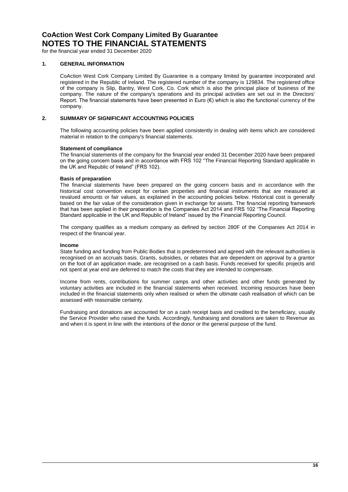for the financial year ended 31 December 2020

### <span id="page-15-0"></span>**1. GENERAL INFORMATION**

CoAction West Cork Company Limited By Guarantee is a company limited by guarantee incorporated and registered in the Republic of Ireland. The registered number of the company is 129834. The registered office of the company is Slip, Bantry, West Cork, Co. Cork which is also the principal place of business of the company. The nature of the company's operations and its principal activities are set out in the Directors' Report. The financial statements have been presented in Euro  $(\epsilon)$  which is also the functional currency of the company.

#### **2. SUMMARY OF SIGNIFICANT ACCOUNTING POLICIES**

The following accounting policies have been applied consistently in dealing with items which are considered material in relation to the company's financial statements.

#### **Statement of compliance**

The financial statements of the company for the financial year ended 31 December 2020 have been prepared on the going concern basis and in accordance with FRS 102 "The Financial Reporting Standard applicable in the UK and Republic of Ireland" (FRS 102).

#### **Basis of preparation**

The financial statements have been prepared on the going concern basis and in accordance with the historical cost convention except for certain properties and financial instruments that are measured at revalued amounts or fair values, as explained in the accounting policies below. Historical cost is generally based on the fair value of the consideration given in exchange for assets. The financial reporting framework that has been applied in their preparation is the Companies Act 2014 and FRS 102 "The Financial Reporting Standard applicable in the UK and Republic of Ireland" issued by the Financial Reporting Council.

The company qualifies as a medium company as defined by section 280F of the Companies Act 2014 in respect of the financial year.

#### **Income**

State funding and funding from Public Bodies that is predetermined and agreed with the relevant authorities is recognised on an accruals basis. Grants, subsidies, or rebates that are dependent on approval by a grantor on the foot of an application made, are recognised on a cash basis. Funds received for specific projects and not spent at year end are deferred to match the costs that they are intended to compensate.

Income from rents, contributions for summer camps and other activities and other funds generated by voluntary activities are included in the financial statements when received. Incoming resources have been included in the financial statements only when realised or when the ultimate cash realisation of which can be assessed with reasonable certainty.

Fundraising and donations are accounted for on a cash receipt basis and credited to the beneficiary, usually the Service Provider who raised the funds. Accordingly, fundraising and donations are taken to Revenue as and when it is spent in line with the intentions of the donor or the general purpose of the fund.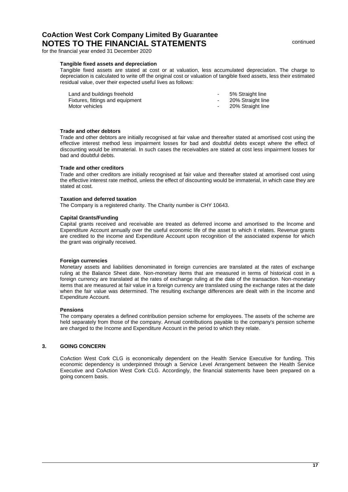for the financial year ended 31 December 2020

#### **Tangible fixed assets and depreciation**

Tangible fixed assets are stated at cost or at valuation, less accumulated depreciation. The charge to depreciation is calculated to write off the original cost or valuation of tangible fixed assets, less their estimated residual value, over their expected useful lives as follows:

| Land and buildings freehold      | 5% Straight line  |
|----------------------------------|-------------------|
| Fixtures, fittings and equipment | 20% Straight line |
| Motor vehicles                   | 20% Straight line |

#### **Trade and other debtors**

Trade and other debtors are initially recognised at fair value and thereafter stated at amortised cost using the effective interest method less impairment losses for bad and doubtful debts except where the effect of discounting would be immaterial. In such cases the receivables are stated at cost less impairment losses for bad and doubtful debts.

#### **Trade and other creditors**

Trade and other creditors are initially recognised at fair value and thereafter stated at amortised cost using the effective interest rate method, unless the effect of discounting would be immaterial, in which case they are stated at cost.

#### **Taxation and deferred taxation**

The Company is a registered charity. The Charity number is CHY 10643.

#### **Capital Grants/Funding**

Capital grants received and receivable are treated as deferred income and amortised to the lncome and Expenditure Account annually over the useful economic life of the asset to which it relates. Revenue grants are credited to the income and Expenditure Account upon recognition of the associated expense for which the grant was originally received.

#### **Foreign currencies**

Monetary assets and liabilities denominated in foreign currencies are translated at the rates of exchange ruling at the Balance Sheet date. Non-monetary items that are measured in terms of historical cost in a foreign currency are translated at the rates of exchange ruling at the date of the transaction. Non-monetary items that are measured at fair value in a foreign currency are translated using the exchange rates at the date when the fair value was determined. The resulting exchange differences are dealt with in the Income and Expenditure Account.

#### **Pensions**

The company operates a defined contribution pension scheme for employees. The assets of the scheme are held separately from those of the company. Annual contributions payable to the company's pension scheme are charged to the Income and Expenditure Account in the period to which they relate.

#### **3. GOING CONCERN**

CoAction West Cork CLG is economically dependent on the Health Service Executive for funding. This economic dependency is underpinned through a Service Level Arrangement between the Health Service Executive and CoAction West Cork CLG. Accordingly, the financial statements have been prepared on a going concern basis.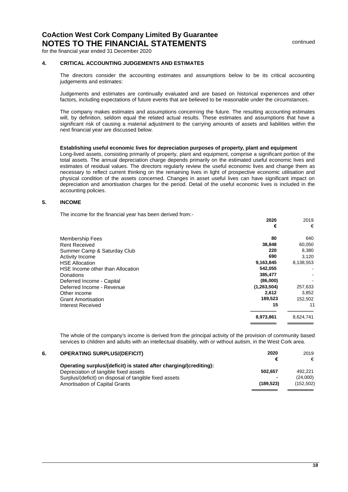for the financial year ended 31 December 2020

### **4. CRITICAL ACCOUNTING JUDGEMENTS AND ESTIMATES**

The directors consider the accounting estimates and assumptions below to be its critical accounting judgements and estimates:

Judgements and estimates are continually evaluated and are based on historical experiences and other factors, including expectations of future events that are believed to be reasonable under the circumstances.

The company makes estimates and assumptions concerning the future. The resulting accounting estimates will, by definition, seldom equal the related actual results. These estimates and assumptions that have a significant risk of causing a material adjustment to the carrying amounts of assets and liabilities within the next financial year are discussed below.

#### **Establishing useful economic lives for depreciation purposes of property, plant and equipment**

Long-lived assets, consisting primarily of property, plant and equipment, comprise a significant portion of the total assets. The annual depreciation charge depends primarily on the estimated useful economic lives and estimates of residual values. The directors regularly review the useful economic lives and change them as necessary to reflect current thinking on the remaining lives in light of prospective economic utilisation and physical condition of the assets concerned. Changes in asset useful lives can have significant impact on depreciation and amortisation charges for the period. Detail of the useful economic lives is included in the accounting policies.

### **5. INCOME**

The income for the financial year has been derived from:-

|                                  | 2020          | 2019      |
|----------------------------------|---------------|-----------|
|                                  | €             | €         |
| Membership Fees                  | 80            | 640       |
| <b>Rent Received</b>             | 38,848        | 60,050    |
| Summer Camp & Saturday Club      | 220           | 8,380     |
| <b>Activity Income</b>           | 690           | 3,120     |
| <b>HSE Allocation</b>            | 9,163,845     | 8,138,553 |
| HSE Income other than Allocation | 542,055       |           |
| Donations                        | 385,477       |           |
| Deferred Income - Capital        | (86,000)      |           |
| Deferred Income - Revenue        | (1, 263, 504) | 257,633   |
| Other income                     | 2,612         | 3,852     |
| <b>Grant Amortisation</b>        | 189,523       | 152,502   |
| <b>Interest Received</b>         | 15            | 11        |
|                                  | 8,973,861     | 8,624,741 |
|                                  |               |           |

The whole of the company's income is derived from the principal activity of the provision of community based services to children and adults with an intellectual disability, with or without autism, in the West Cork area.

| 6. | <b>OPERATING SURPLUS/(DEFICIT)</b>                                | 2020      | 2019      |
|----|-------------------------------------------------------------------|-----------|-----------|
|    |                                                                   |           | €         |
|    | Operating surplus/(deficit) is stated after charging/(crediting): |           |           |
|    | Depreciation of tangible fixed assets                             | 502.657   | 492.221   |
|    | Surplus/(deficit) on disposal of tangible fixed assets            |           | (24,000)  |
|    | <b>Amortisation of Capital Grants</b>                             | (189.523) | (152.502) |
|    |                                                                   |           |           |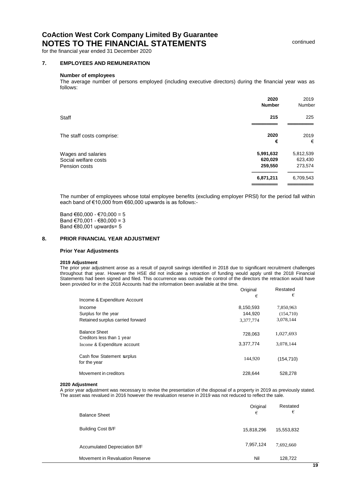for the financial year ended 31 December 2020

### **7. EMPLOYEES AND REMUNERATION**

#### **Number of employees**

The average number of persons employed (including executive directors) during the financial year was as follows:

|                                                             | 2020<br><b>Number</b>           | 2019<br>Number                  |
|-------------------------------------------------------------|---------------------------------|---------------------------------|
| Staff                                                       | 215                             | 225                             |
| The staff costs comprise:                                   | 2020<br>€                       | 2019<br>€                       |
| Wages and salaries<br>Social welfare costs<br>Pension costs | 5,991,632<br>620,029<br>259,550 | 5,812,539<br>623,430<br>273,574 |
|                                                             | 6,871,211                       | 6,709,543                       |

The number of employees whose total employee benefits (excluding employer PRSl) for the period fall within each band of €10,000 from €60,000 upwards is as follows:-

Band €60,000 - €70,000 = 5 Band €70,001 - €80,000 = 3 Band €80,001 upwards= 5

#### **8. PRIOR FINANCIAL YEAR ADJUSTMENT**

#### **Prior Year Adjustments**

#### **2019 Adjustment**

The prior year adjustment arose as a result of payroll savings identified in 2018 due to significant recruitment challenges throughout that year. However the HSE did not indicate a retraction of funding would apply until the 2018 Financial Statements had been signed and filed. This occurrence was outside the control of the directors the retraction would have been provided for in the 2018 Accounts had the information been available at the time.

|                                                    | Original  | Restated   |
|----------------------------------------------------|-----------|------------|
| Income & Expenditure Account                       | €         | €          |
| Income                                             | 8,150,593 | 7,850,963  |
| Surplus for the year                               | 144,920   | (154,710)  |
| Retained surplus carried forward                   | 3,377,774 | 3,078,144  |
| <b>Balance Sheet</b><br>Creditors less than 1 year | 728,063   | 1,027,693  |
| Income & Expenditure account                       | 3,377,774 | 3,078,144  |
| Cash flow Statement surplus<br>for the year        | 144,920   | (154, 710) |
| Movement in creditors                              | 228.644   | 528.278    |

#### **2020 Adjustment**

A prior year adjustment was necessary to revise the presentation of the disposal of a property in 2019 as previously stated. The asset was revalued in 2016 however the revaluation reserve in 2019 was not reduced to reflect the sale.

| <b>Balance Sheet</b>            | Original<br>€ | Restated<br>€ |
|---------------------------------|---------------|---------------|
| Building Cost B/F               | 15,818,296    | 15,553,832    |
| Accumulated Depreciation B/F    | 7,957,124     | 7.692.660     |
| Movement in Revaluation Reserve | Nil           | 128.722       |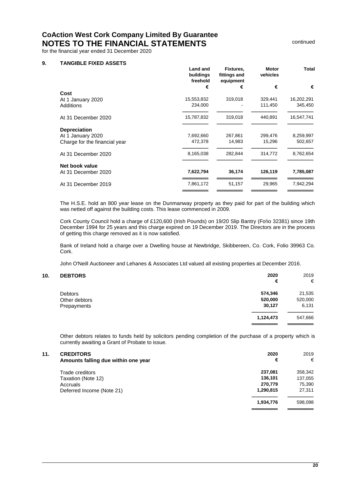for the financial year ended 31 December 2020

### **9. TANGIBLE FIXED ASSETS**

|                               | <b>Land and</b><br>buildings<br>freehold | Fixtures,<br>fittings and<br>equipment | <b>Motor</b><br>vehicles | <b>Total</b> |
|-------------------------------|------------------------------------------|----------------------------------------|--------------------------|--------------|
|                               | €                                        | €                                      | €                        | €            |
| Cost                          |                                          |                                        |                          |              |
| At 1 January 2020             | 15,553,832                               | 319,018                                | 329,441                  | 16,202,291   |
| Additions                     | 234,000                                  |                                        | 111,450                  | 345,450      |
| At 31 December 2020           | 15,787,832                               | 319,018                                | 440,891                  | 16,547,741   |
| <b>Depreciation</b>           |                                          |                                        |                          |              |
| At 1 January 2020             | 7,692,660                                | 267,861                                | 299,476                  | 8,259,997    |
| Charge for the financial year | 472,378                                  | 14,983                                 | 15,296                   | 502,657      |
| At 31 December 2020           | 8,165,038                                | 282,844                                | 314,772                  | 8,762,654    |
| Net book value                |                                          |                                        |                          |              |
| At 31 December 2020           | 7,622,794                                | 36,174                                 | 126,119                  | 7,785,087    |
| At 31 December 2019           | 7,861,172                                | 51,157                                 | 29,965                   | 7,942,294    |
|                               |                                          |                                        |                          |              |

The H.S.E. hold an 800 year lease on the Dunmanway property as they paid for part of the building which was netted off against the building costs. This lease commenced in 2009.

Cork County Council hold a charge of £120,600 (Irish Pounds) on 19/20 Slip Bantry (Fo!io 32381) since 19th December 1994 for 25 years and this charge expired on 19 December 2019. The Directors are in the process of getting this charge removed as it is now satisfied.

Bank of Ireland hold a charge over a Dwelling house at Newbridge, Skibbereen, Co. Cork, Folio 39963 Co. Cork.

John O'Neill Auctioneer and Lehanes & Associates Ltd valued all existing properties at December 2016.

| 10. | <b>DEBTORS</b> | 2020      | 2019    |
|-----|----------------|-----------|---------|
|     |                | €         | €       |
|     | <b>Debtors</b> | 574,346   | 21,535  |
|     | Other debtors  | 520,000   | 520,000 |
|     | Prepayments    | 30,127    | 6,131   |
|     |                | 1,124,473 | 547,666 |
|     |                |           |         |

Other debtors relates to funds held by solicitors pending completion of the purchase of a property which is currently awaiting a Grant of Probate to issue.

| 11. | <b>CREDITORS</b>                    | 2020      | 2019    |
|-----|-------------------------------------|-----------|---------|
|     | Amounts falling due within one year | €         | €       |
|     | Trade creditors                     | 237,081   | 358,342 |
|     | Taxation (Note 12)                  | 136,101   | 137,055 |
|     | Accruals                            | 270,779   | 75,390  |
|     | Deferred Income (Note 21)           | 1,290,815 | 27,311  |
|     |                                     | 1,934,776 | 598,098 |
|     |                                     |           |         |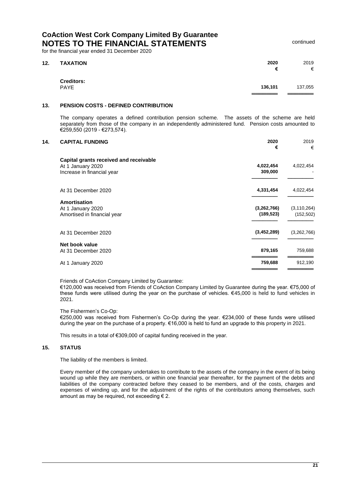for the financial year ended 31 December 2020

| 12. | <b>TAXATION</b>   | 2020<br>€ | 2019<br>€ |
|-----|-------------------|-----------|-----------|
|     | <b>Creditors:</b> |           |           |
|     | <b>PAYE</b>       | 136,101   | 137,055   |

### **13. PENSION COSTS - DEFINED CONTRIBUTION**

The company operates a defined contribution pension scheme. The assets of the scheme are held separately from those of the company in an independently administered fund. Pension costs amounted to €259,550 (2019 - €273,574).

#### **14. CAPITAL FUNDING 2020** 2019

| €                         | €                           |
|---------------------------|-----------------------------|
| 4,022,454<br>309,000      | 4,022,454                   |
| 4,331,454                 | 4,022,454                   |
| (3,262,766)<br>(189, 523) | (3, 110, 264)<br>(152, 502) |
| (3,452,289)               | (3,262,766)                 |
| 879,165                   | 759,688                     |
| 759,688                   | 912,190                     |
|                           |                             |

Friends of CoAction Company Limited by Guarantee:

€120,000 was received from Friends of CoAction Company Limited by Guarantee during the year. €75,000 of these funds were utilised during the year on the purchase of vehicles. €45,000 is held to fund vehicles in 2021.

#### The Fishermen's Co-Op:

€250,000 was received from Fishermen's Co-Op during the year. €234,000 of these funds were utilised during the year on the purchase of a property. €16,000 is held to fund an upgrade to this property in 2021.

This results in a total of €309,000 of capital funding received in the year.

#### **15. STATUS**

The liability of the members is limited.

Every member of the company undertakes to contribute to the assets of the company in the event of its being wound up while they are members, or within one financial year thereafter, for the payment of the debts and liabilities of the company contracted before they ceased to be members, and of the costs, charges and expenses of winding up, and for the adjustment of the rights of the contributors among themselves, such amount as may be required, not exceeding  $\epsilon$  2.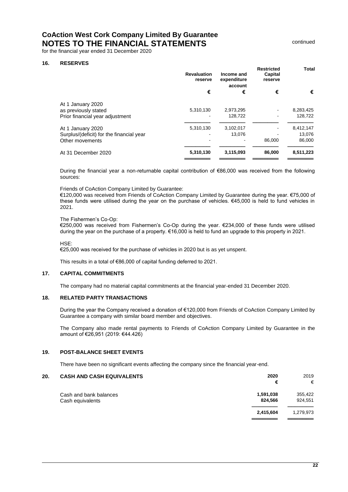for the financial year ended 31 December 2020

#### **16. RESERVES**

|                                          | <b>Revaluation</b><br>reserve | Income and<br>expenditure<br>account | <b>Restricted</b><br>Capital<br>reserve | <b>Total</b> |
|------------------------------------------|-------------------------------|--------------------------------------|-----------------------------------------|--------------|
|                                          | €                             | €                                    | €                                       | €            |
| At 1 January 2020                        |                               |                                      |                                         |              |
| as previously stated                     | 5,310,130                     | 2,973,295                            |                                         | 8,283,425    |
| Prior financial year adjustment          |                               | 128.722                              |                                         | 128.722      |
| At 1 January 2020                        | 5,310,130                     | 3,102,017                            |                                         | 8,412,147    |
| Surplus/(deficit) for the financial year |                               | 13,076                               |                                         | 13,076       |
| Other movements                          |                               |                                      | 86,000                                  | 86,000       |
| At 31 December 2020                      | 5,310,130                     | 3,115,093                            | 86,000                                  | 8,511,223    |
|                                          |                               |                                      |                                         |              |

During the financial year a non-returnable capital contribution of €86,000 was received from the following sources:

#### Friends of CoAction Company Limited by Guarantee:

€120,000 was received from Friends of CoAction Company Limited by Guarantee during the year. €75,000 of these funds were utilised during the year on the purchase of vehicles. €45,000 is held to fund vehicles in 2021.

#### The Fishermen's Co-Op:

€250,000 was received from Fishermen's Co-Op during the year. €234,000 of these funds were utilised during the year on the purchase of a property. €16,000 is held to fund an upgrade to this property in 2021.

#### HSE:

€25,000 was received for the purchase of vehicles in 2020 but is as yet unspent.

This results in a total of €86,000 of capital funding deferred to 2021.

#### **17. CAPITAL COMMITMENTS**

The company had no material capital commitments at the financial year-ended 31 December 2020.

### **18. RELATED PARTY TRANSACTIONS**

During the year the Company received a donation of €120,000 from Friends of CoAction Company Limited by Guarantee a company with similar board member and objectives.

The Company also made rental payments to Friends of CoAction Company Limited by Guarantee in the amount of €26,951 (2019: €44.426)

#### **19. POST-BALANCE SHEET EVENTS**

There have been no significant events affecting the company since the financial year-end.

| <b>CASH AND CASH EQUIVALENTS</b> | 2020<br>€            | 2019<br>€          |
|----------------------------------|----------------------|--------------------|
| Cash and bank balances           | 1,591,038<br>824,566 | 355,422<br>924,551 |
|                                  | 2,415,604            | 1,279,973          |
|                                  | Cash equivalents     |                    |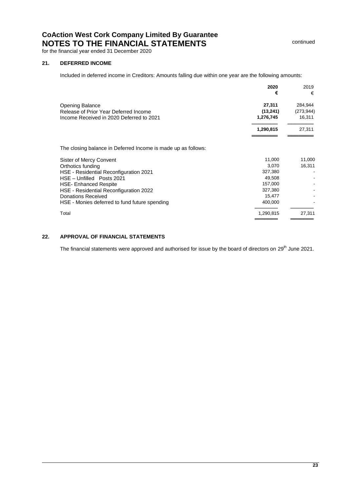for the financial year ended 31 December 2020

### **21. DEFERRED INCOME**

Included in deferred income in Creditors: Amounts falling due within one year are the following amounts:

|                                                                                   | 2020<br>€              | 2019<br>€            |
|-----------------------------------------------------------------------------------|------------------------|----------------------|
| <b>Opening Balance</b>                                                            | 27,311                 | 284,944              |
| Release of Prior Year Deferred Income<br>Income Received in 2020 Deferred to 2021 | (13, 241)<br>1,276,745 | (273, 944)<br>16,311 |
|                                                                                   | 1,290,815              | 27,311               |
| The closing balance in Deferred Income is made up as follows:                     |                        |                      |
| Sister of Mercy Convent                                                           | 11,000                 | 11,000               |
| Orthotics funding                                                                 | 3,070                  | 16,311               |
| HSE - Residential Reconfiguration 2021                                            | 327,380                |                      |
| HSE-Unfilled Posts 2021                                                           | 49,508                 |                      |
| <b>HSE-Enhanced Respite</b>                                                       | 157,000                |                      |
| HSE - Residential Reconfiguration 2022                                            | 327,380                |                      |
| <b>Donations Received</b>                                                         | 15,477                 |                      |
| HSE - Monies deferred to fund future spending                                     | 400,000                |                      |
| Total                                                                             | 1,290,815              | 27,311               |

### **22. APPROVAL OF FINANCIAL STATEMENTS**

The financial statements were approved and authorised for issue by the board of directors on 29<sup>th</sup> June 2021.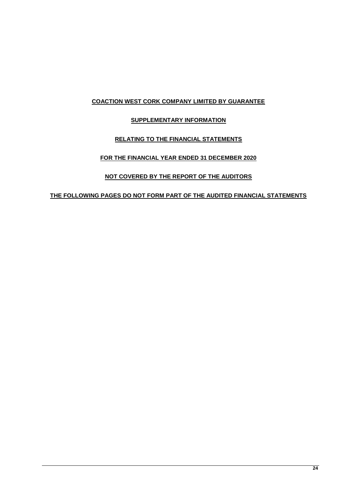### **COACTION WEST CORK COMPANY LIMITED BY GUARANTEE**

### **SUPPLEMENTARY INFORMATION**

### **RELATING TO THE FINANCIAL STATEMENTS**

### **FOR THE FINANCIAL YEAR ENDED 31 DECEMBER 2020**

### **NOT COVERED BY THE REPORT OF THE AUDITORS**

### **THE FOLLOWING PAGES DO NOT FORM PART OF THE AUDITED FINANCIAL STATEMENTS**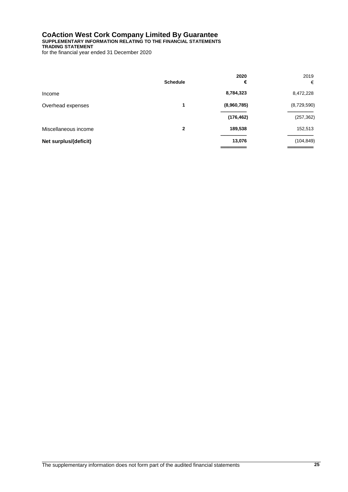# **CoAction West Cork Company Limited By Guarantee**

<span id="page-24-0"></span>**SUPPLEMENTARY INFORMATION RELATING TO THE FINANCIAL STATEMENTS**

**TRADING STATEMENT**

|                       | <b>Schedule</b> | 2020<br>€   | 2019<br>€   |
|-----------------------|-----------------|-------------|-------------|
| Income                |                 | 8,784,323   | 8,472,228   |
| Overhead expenses     | 1               | (8,960,785) | (8,729,590) |
|                       |                 | (176, 462)  | (257, 362)  |
| Miscellaneous income  | $\mathbf{2}$    | 189,538     | 152,513     |
| Net surplus/(deficit) |                 | 13,076      | (104, 849)  |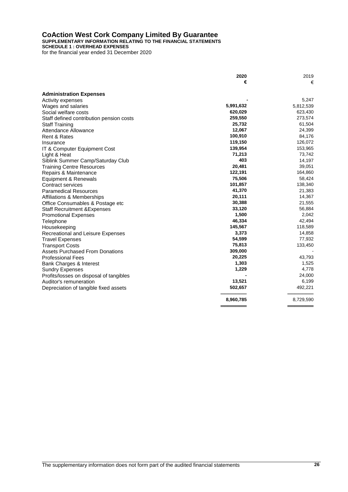### **CoAction West Cork Company Limited By Guarantee**

**SUPPLEMENTARY INFORMATION RELATING TO THE FINANCIAL STATEMENTS**

**SCHEDULE 1 : OVERHEAD EXPENSES**

|                                          | 2020      | 2019      |
|------------------------------------------|-----------|-----------|
|                                          | €         | €         |
| <b>Administration Expenses</b>           |           |           |
| Activity expenses                        |           | 5,247     |
| Wages and salaries                       | 5,991,632 | 5,812,539 |
| Social welfare costs                     | 620,029   | 623,430   |
| Staff defined contribution pension costs | 259,550   | 273,574   |
| <b>Staff Training</b>                    | 25,732    | 61,504    |
| Attendance Allowance                     | 12,067    | 24,399    |
| Rent & Rates                             | 100,910   | 84,176    |
| Insurance                                | 119,150   | 126,072   |
| IT & Computer Equipment Cost             | 139,954   | 153,965   |
| Light & Heat                             | 71,213    | 73,742    |
| Siblink Summer Camp/Saturday Club        | 403       | 14,197    |
| <b>Training Centre Resources</b>         | 20,481    | 39,051    |
| Repairs & Maintenance                    | 122,191   | 164,860   |
| Equipment & Renewals                     | 75,506    | 58,424    |
| Contract services                        | 101,857   | 138,340   |
| <b>Paramedical Resources</b>             | 41,370    | 21,383    |
| Affiliations & Memberships               | 20,111    | 14,367    |
| Office Consumables & Postage etc         | 30,388    | 21,555    |
| <b>Staff Recruitment &amp; Expenses</b>  | 33,120    | 56,884    |
| <b>Promotional Expenses</b>              | 1,500     | 2,042     |
| Telephone                                | 46,334    | 42,494    |
| Housekeeping                             | 145,567   | 118,589   |
| Recreational and Leisure Expenses        | 3,373     | 14,858    |
| <b>Travel Expenses</b>                   | 54,599    | 77,932    |
| <b>Transport Costs</b>                   | 75,813    | 133,450   |
| <b>Assets Purchased From Donations</b>   | 309,000   |           |
| <b>Professional Fees</b>                 | 20,225    | 43,793    |
| Bank Charges & Interest                  | 1,303     | 1,525     |
| <b>Sundry Expenses</b>                   | 1,229     | 4,778     |
| Profits/losses on disposal of tangibles  |           | 24,000    |
| Auditor's remuneration                   | 13,521    | 6,199     |
| Depreciation of tangible fixed assets    | 502,657   | 492,221   |
|                                          | 8,960,785 | 8,729,590 |
|                                          |           |           |